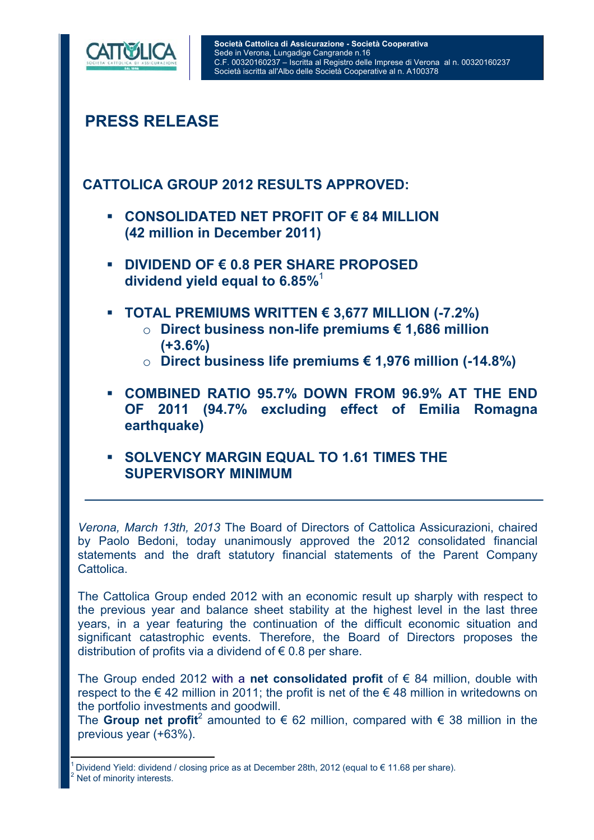

# **PRESS RELEASE**

### **CATTOLICA GROUP 2012 RESULTS APPROVED:**

- **CONSOLIDATED NET PROFIT OF € 84 MILLION (42 million in December 2011)**
- **DIVIDEND OF € 0.8 PER SHARE PROPOSED dividend yield equal to 6.85%**<sup>1</sup>
- **TOTAL PREMIUMS WRITTEN € 3,677 MILLION (-7.2%)** 
	- o **Direct business non-life premiums € 1,686 million (+3.6%)**
	- o **Direct business life premiums € 1,976 million (-14.8%)**
- **COMBINED RATIO 95.7% DOWN FROM 96.9% AT THE END OF 2011 (94.7% excluding effect of Emilia Romagna earthquake)**
- **SOLVENCY MARGIN EQUAL TO 1.61 TIMES THE SUPERVISORY MINIMUM**

*Verona, March 13th, 2013* The Board of Directors of Cattolica Assicurazioni, chaired by Paolo Bedoni, today unanimously approved the 2012 consolidated financial statements and the draft statutory financial statements of the Parent Company **Cattolica** 

The Cattolica Group ended 2012 with an economic result up sharply with respect to the previous year and balance sheet stability at the highest level in the last three years, in a year featuring the continuation of the difficult economic situation and significant catastrophic events. Therefore, the Board of Directors proposes the distribution of profits via a dividend of  $\epsilon$  0.8 per share.

The Group ended 2012 with a **net consolidated profit** of € 84 million, double with respect to the  $\epsilon$  42 million in 2011; the profit is net of the  $\epsilon$  48 million in writedowns on the portfolio investments and goodwill.

The **Group net profit**<sup>2</sup> amounted to € 62 million, compared with € 38 million in the previous year (+63%).

 $\overline{a}$ Dividend Yield: dividend / closing price as at December 28th, 2012 (equal to € 11.68 per share). 2 Net of minority interests.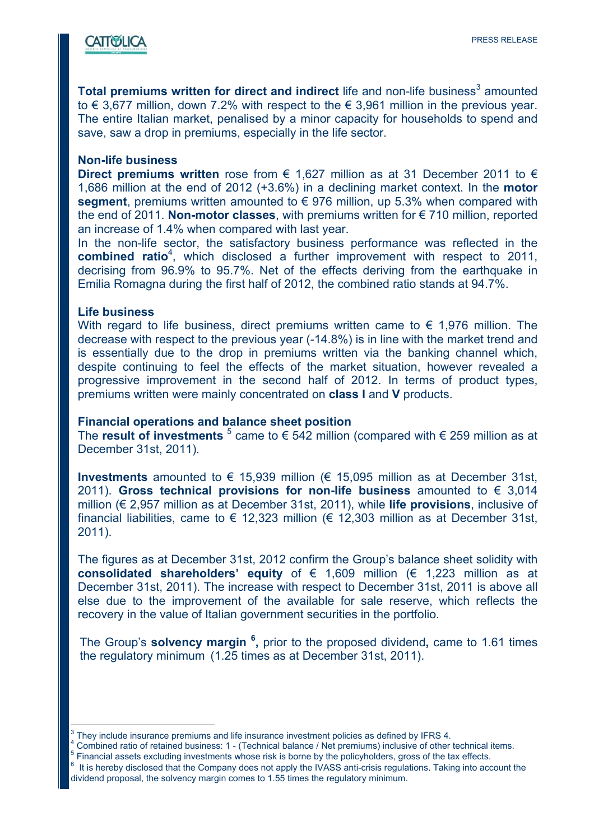

**Total premiums written for direct and indirect** life and non-life business<sup>3</sup> amounted to € 3,677 million, down 7.2% with respect to the € 3,961 million in the previous year. The entire Italian market, penalised by a minor capacity for households to spend and save, saw a drop in premiums, especially in the life sector.

#### **Non-life business**

**Direct premiums written** rose from € 1,627 million as at 31 December 2011 to € 1,686 million at the end of 2012 (+3.6%) in a declining market context. In the **motor segment**, premiums written amounted to € 976 million, up 5.3% when compared with the end of 2011. **Non-motor classes**, with premiums written for € 710 million, reported an increase of 1.4% when compared with last year.

In the non-life sector, the satisfactory business performance was reflected in the **combined ratio**<sup>4</sup>, which disclosed a further improvement with respect to 2011, decrising from 96.9% to 95.7%. Net of the effects deriving from the earthquake in Emilia Romagna during the first half of 2012, the combined ratio stands at 94.7%.

#### **Life business**

 $\overline{a}$ 

With regard to life business, direct premiums written came to  $\epsilon$  1,976 million. The decrease with respect to the previous year (-14.8%) is in line with the market trend and is essentially due to the drop in premiums written via the banking channel which, despite continuing to feel the effects of the market situation, however revealed a progressive improvement in the second half of 2012. In terms of product types, premiums written were mainly concentrated on **class I** and **V** products.

#### **Financial operations and balance sheet position**

The **result of investments**  $\frac{5}{3}$  came to  $\in$  542 million (compared with  $\in$  259 million as at December 31st, 2011).

**Investments** amounted to € 15,939 million (€ 15,095 million as at December 31st, 2011). **Gross technical provisions for non-life business** amounted to € 3,014 million (€ 2,957 million as at December 31st, 2011), while **life provisions**, inclusive of financial liabilities, came to  $\epsilon$  12,323 million ( $\epsilon$  12,303 million as at December 31st, 2011).

The figures as at December 31st, 2012 confirm the Group's balance sheet solidity with **consolidated shareholders' equity** of € 1,609 million (€ 1,223 million as at December 31st, 2011). The increase with respect to December 31st, 2011 is above all else due to the improvement of the available for sale reserve, which reflects the recovery in the value of Italian government securities in the portfolio.

The Group's **solvency margin <sup>6</sup> ,** prior to the proposed dividend**,** came to 1.61 times the regulatory minimum (1.25 times as at December 31st, 2011).

<sup>&</sup>lt;sup>3</sup> They include insurance premiums and life insurance investment policies as defined by IFRS 4.<br><sup>4</sup> Combined ratio of retained business: 1. (Technical belance (Net premiume) inclusive of other

Combined ratio of retained business: 1 - (Technical balance / Net premiums) inclusive of other technical items. <sup>5</sup>

Financial assets excluding investments whose risk is borne by the policyholders, gross of the tax effects.

It is hereby disclosed that the Company does not apply the IVASS anti-crisis regulations. Taking into account the dividend proposal, the solvency margin comes to 1.55 times the regulatory minimum.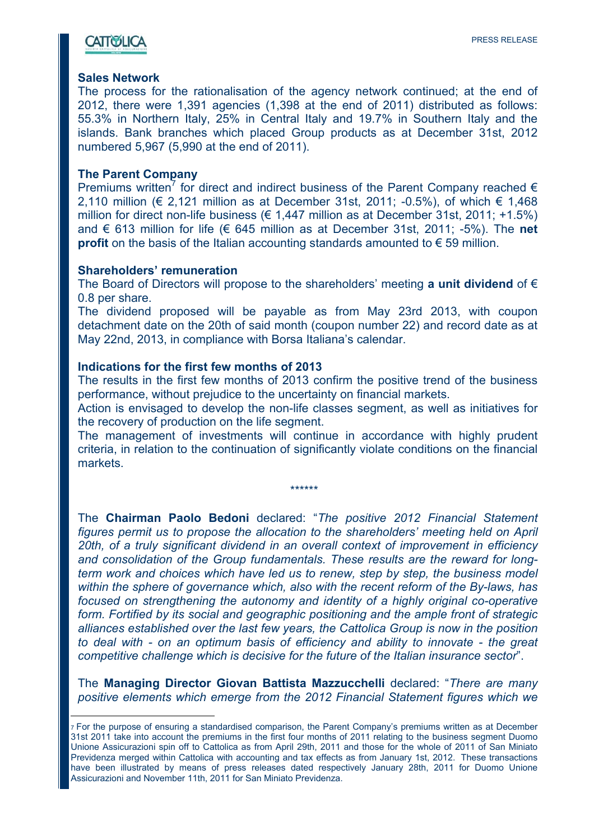### **CATTOSLICA**

#### **Sales Network**

The process for the rationalisation of the agency network continued; at the end of 2012, there were 1,391 agencies (1,398 at the end of 2011) distributed as follows: 55.3% in Northern Italy, 25% in Central Italy and 19.7% in Southern Italy and the islands. Bank branches which placed Group products as at December 31st, 2012 numbered 5,967 (5,990 at the end of 2011).

#### **The Parent Company**

 $\overline{a}$ 

Premiums written<sup>7</sup> for direct and indirect business of the Parent Company reached  $\epsilon$ 2,110 million (€ 2,121 million as at December 31st, 2011; -0.5%), of which  $€ 1,468$ million for direct non-life business ( $\in$  1.447 million as at December 31st, 2011; +1.5%) and € 613 million for life (€ 645 million as at December 31st, 2011; -5%). The **net profit** on the basis of the Italian accounting standards amounted to  $\epsilon$  59 million.

#### **Shareholders' remuneration**

The Board of Directors will propose to the shareholders' meeting **a unit dividend** of € 0.8 per share.

The dividend proposed will be payable as from May 23rd 2013, with coupon detachment date on the 20th of said month (coupon number 22) and record date as at May 22nd, 2013, in compliance with Borsa Italiana's calendar.

#### **Indications for the first few months of 2013**

The results in the first few months of 2013 confirm the positive trend of the business performance, without prejudice to the uncertainty on financial markets.

Action is envisaged to develop the non-life classes segment, as well as initiatives for the recovery of production on the life segment.

The management of investments will continue in accordance with highly prudent criteria, in relation to the continuation of significantly violate conditions on the financial markets.

\*\*\*\*\*\*

The **Chairman Paolo Bedoni** declared: "*The positive 2012 Financial Statement figures permit us to propose the allocation to the shareholders' meeting held on April 20th, of a truly significant dividend in an overall context of improvement in efficiency and consolidation of the Group fundamentals. These results are the reward for longterm work and choices which have led us to renew, step by step, the business model within the sphere of governance which, also with the recent reform of the By-laws, has focused on strengthening the autonomy and identity of a highly original co-operative form. Fortified by its social and geographic positioning and the ample front of strategic alliances established over the last few years, the Cattolica Group is now in the position to deal with - on an optimum basis of efficiency and ability to innovate - the great competitive challenge which is decisive for the future of the Italian insurance sector*".

The **Managing Director Giovan Battista Mazzucchelli** declared: "*There are many positive elements which emerge from the 2012 Financial Statement figures which we* 

<sup>7</sup> For the purpose of ensuring a standardised comparison, the Parent Company's premiums written as at December 31st 2011 take into account the premiums in the first four months of 2011 relating to the business segment Duomo Unione Assicurazioni spin off to Cattolica as from April 29th, 2011 and those for the whole of 2011 of San Miniato Previdenza merged within Cattolica with accounting and tax effects as from January 1st, 2012. These transactions have been illustrated by means of press releases dated respectively January 28th, 2011 for Duomo Unione Assicurazioni and November 11th, 2011 for San Miniato Previdenza.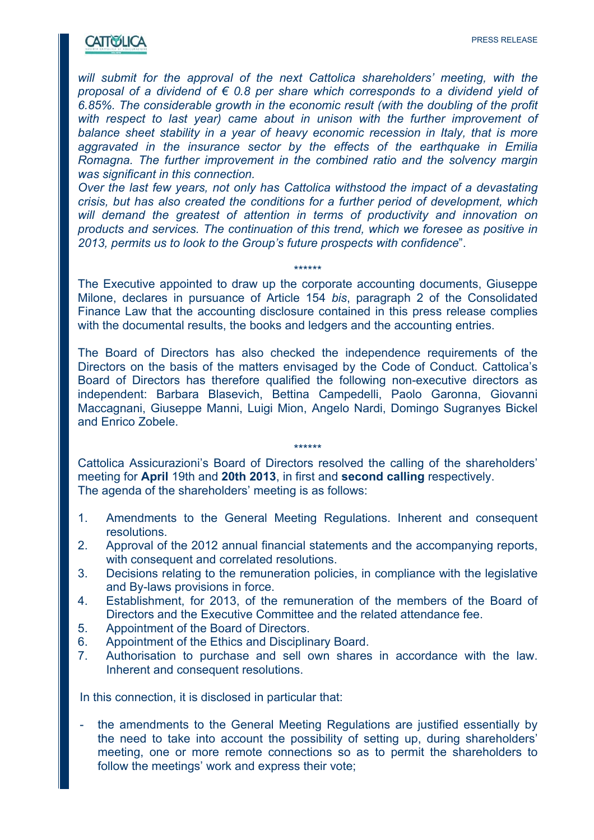### **CATTWELICA**

*will submit for the approval of the next Cattolica shareholders' meeting, with the proposal of a dividend of € 0.8 per share which corresponds to a dividend yield of 6.85%. The considerable growth in the economic result (with the doubling of the profit*  with respect to last year) came about in unison with the further improvement of *balance sheet stability in a year of heavy economic recession in Italy, that is more aggravated in the insurance sector by the effects of the earthquake in Emilia Romagna. The further improvement in the combined ratio and the solvency margin was significant in this connection.* 

*Over the last few years, not only has Cattolica withstood the impact of a devastating crisis, but has also created the conditions for a further period of development, which will demand the greatest of attention in terms of productivity and innovation on products and services. The continuation of this trend, which we foresee as positive in 2013, permits us to look to the Group's future prospects with confidence*".

The Executive appointed to draw up the corporate accounting documents, Giuseppe Milone, declares in pursuance of Article 154 *bis*, paragraph 2 of the Consolidated Finance Law that the accounting disclosure contained in this press release complies with the documental results, the books and ledgers and the accounting entries.

\*\*\*\*\*\*

The Board of Directors has also checked the independence requirements of the Directors on the basis of the matters envisaged by the Code of Conduct. Cattolica's Board of Directors has therefore qualified the following non-executive directors as independent: Barbara Blasevich, Bettina Campedelli, Paolo Garonna, Giovanni Maccagnani, Giuseppe Manni, Luigi Mion, Angelo Nardi, Domingo Sugranyes Bickel and Enrico Zobele.

\*\*\*\*\*\* Cattolica Assicurazioni's Board of Directors resolved the calling of the shareholders' meeting for **April** 19th and **20th 2013**, in first and **second calling** respectively. The agenda of the shareholders' meeting is as follows:

- 1. Amendments to the General Meeting Regulations. Inherent and consequent resolutions.
- 2. Approval of the 2012 annual financial statements and the accompanying reports, with consequent and correlated resolutions.
- 3. Decisions relating to the remuneration policies, in compliance with the legislative and By-laws provisions in force.
- 4. Establishment, for 2013, of the remuneration of the members of the Board of Directors and the Executive Committee and the related attendance fee.
- 5. Appointment of the Board of Directors.
- 6. Appointment of the Ethics and Disciplinary Board.
- 7. Authorisation to purchase and sell own shares in accordance with the law. Inherent and consequent resolutions.

In this connection, it is disclosed in particular that:

the amendments to the General Meeting Regulations are justified essentially by the need to take into account the possibility of setting up, during shareholders' meeting, one or more remote connections so as to permit the shareholders to follow the meetings' work and express their vote;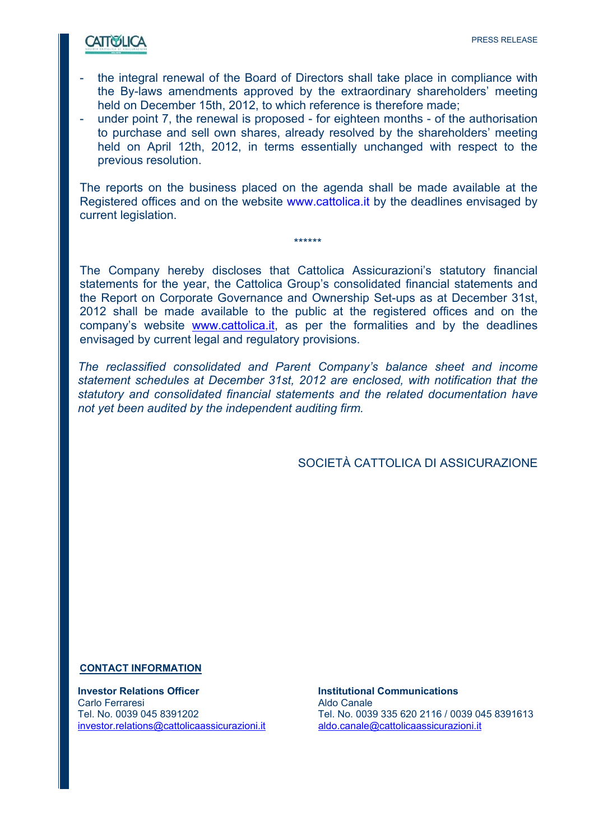## **CATTOSLICA**

- the integral renewal of the Board of Directors shall take place in compliance with the By-laws amendments approved by the extraordinary shareholders' meeting held on December 15th, 2012, to which reference is therefore made;
- under point 7, the renewal is proposed for eighteen months of the authorisation to purchase and sell own shares, already resolved by the shareholders' meeting held on April 12th, 2012, in terms essentially unchanged with respect to the previous resolution.

The reports on the business placed on the agenda shall be made available at the Registered offices and on the website www.cattolica.it by the deadlines envisaged by current legislation.

\*\*\*\*\*\*

The Company hereby discloses that Cattolica Assicurazioni's statutory financial statements for the year, the Cattolica Group's consolidated financial statements and the Report on Corporate Governance and Ownership Set-ups as at December 31st, 2012 shall be made available to the public at the registered offices and on the company's website www.cattolica.it, as per the formalities and by the deadlines envisaged by current legal and regulatory provisions.

*The reclassified consolidated and Parent Company's balance sheet and income statement schedules at December 31st, 2012 are enclosed, with notification that the statutory and consolidated financial statements and the related documentation have not yet been audited by the independent auditing firm.* 

SOCIETÀ CATTOLICA DI ASSICURAZIONE

#### **CONTACT INFORMATION**

**Investor Relations Officer Institutional Communications** Carlo Ferraresi **Aldo Canale** investor.relations@cattolicaassicurazioni.it aldo.canale@cattolicaassicurazioni.it

Tel. No. 0039 045 8391202 Tel. No. 0039 335 620 2116 / 0039 045 8391613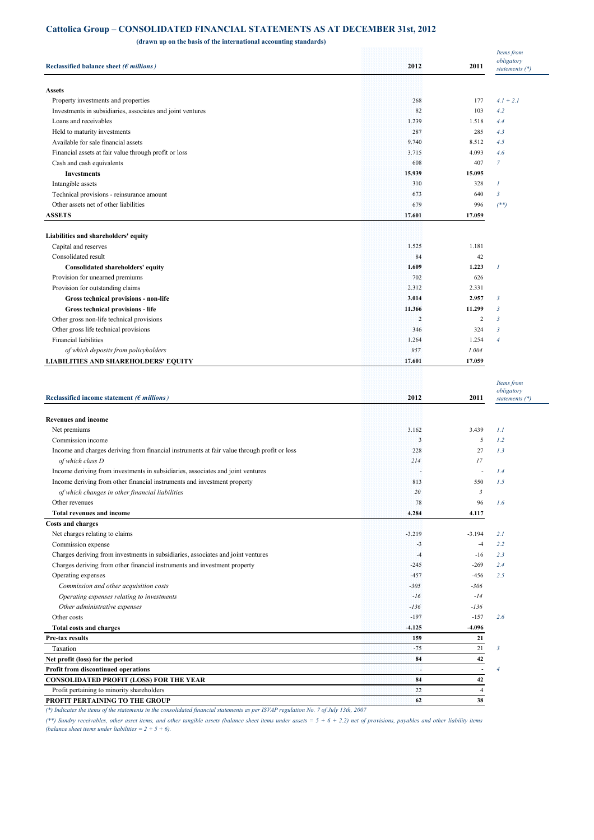#### **Cattolica Group – CONSOLIDATED FINANCIAL STATEMENTS AS AT DECEMBER 31st, 2012**

 **(drawn up on the basis of the international accounting standards)**

| obligatory<br>Reclassified balance sheet ( $\epsilon$ millions)<br>2012<br>2011<br>statements $(*)$<br><b>Assets</b><br>Property investments and properties<br>268<br>177<br>$4.1 + 2.1$<br>103<br>Investments in subsidiaries, associates and joint ventures<br>82<br>4.2<br>Loans and receivables<br>1.239<br>1.518<br>4.4<br>Held to maturity investments<br>287<br>285<br>4.3<br>Available for sale financial assets<br>9.740<br>8.512<br>4.5<br>Financial assets at fair value through profit or loss<br>3.715<br>4.093<br>4.6<br>Cash and cash equivalents<br>608<br>407<br>7<br><b>Investments</b><br>15.939<br>15.095<br>$\overline{I}$<br>Intangible assets<br>310<br>328<br>$\mathfrak{Z}$<br>Technical provisions - reinsurance amount<br>673<br>640<br>Other assets net of other liabilities<br>679<br>996<br>$($ **)<br><b>ASSETS</b><br>17.601<br>17.059<br>Liabilities and shareholders' equity<br>1.525<br>1.181<br>Capital and reserves<br>Consolidated result<br>84<br>42<br>1.609<br>1.223<br>$\overline{I}$<br>Consolidated shareholders' equity<br>Provision for unearned premiums<br>702<br>626<br>Provision for outstanding claims<br>2.312<br>2.331<br>3.014<br>2.957<br>3<br>Gross technical provisions - non-life<br>11.366<br>11.299<br>3<br>Gross technical provisions - life<br>$\overline{2}$<br>$\overline{c}$<br>Other gross non-life technical provisions<br>$\mathbf{3}$<br>324<br>Other gross life technical provisions<br>346<br>$\mathbf{3}$<br><b>Financial liabilities</b><br>1.264<br>1.254<br>$\overline{4}$<br>of which deposits from policyholders<br>957<br>1.004<br><b>LIABILITIES AND SHAREHOLDERS' EQUITY</b><br>17.601<br>17.059<br>Items from<br>obligatory<br>2012<br>2011<br>Reclassified income statement ( $\epsilon$ millions)<br>statements $(*)$<br><b>Revenues and income</b><br>Net premiums<br>3.439<br>3.162<br>1.1<br>$\overline{\mathbf{3}}$<br>5<br>1.2<br>Commission income<br>Income and charges deriving from financial instruments at fair value through profit or loss<br>228<br>27<br>1.3<br>17<br>of which class D<br>214<br>1.4<br>Income deriving from investments in subsidiaries, associates and joint ventures<br>$\overline{a}$<br>Income deriving from other financial instruments and investment property<br>813<br>550<br>1.5<br>of which changes in other financial liabilities<br>20<br>3<br>Other revenues<br>78<br>96<br>1.6<br><b>Total revenues and income</b><br>4.284<br>4.117<br><b>Costs and charges</b><br>Net charges relating to claims<br>$-3.219$<br>$-3.194$<br>2.1<br>Commission expense<br>2.2<br>$-3$<br>$-4$<br>Charges deriving from investments in subsidiaries, associates and joint ventures<br>2.3<br>$-4$<br>$-16$<br>Charges deriving from other financial instruments and investment property<br>2.4<br>$-245$<br>$-269$<br>Operating expenses<br>$-457$<br>$-456$<br>2.5<br>$-306$<br>Commission and other acquisition costs<br>$-305$<br>$-14$<br>Operating expenses relating to investments<br>$-16$<br>$-136$<br>Other administrative expenses<br>$-136$<br>Other costs<br>$-197$<br>$-157$<br>2.6<br>-4.096<br><b>Total costs and charges</b><br>$-4.125$<br>159<br>21<br>Pre-tax results<br>$-75$<br>21<br>Taxation<br>$\mathbf{3}$<br>Net profit (loss) for the period<br>84<br>42<br>Profit from discontinued operations<br>4<br>94<br>$\overline{\phantom{a}}$<br><b>CONSOLIDATED PROFIT (LOSS) FOR THE YEAR</b><br>84<br>42<br>Profit pertaining to minority shareholders<br>22<br>$\overline{4}$<br>PROFIT PERTAINING TO THE GROUP<br>62<br>38<br>(*) Indicates the items of the statements in the consolidated financial statements as per ISVAP regulation No. 7 of July 13th, 2007 |  | Items from |
|-------------------------------------------------------------------------------------------------------------------------------------------------------------------------------------------------------------------------------------------------------------------------------------------------------------------------------------------------------------------------------------------------------------------------------------------------------------------------------------------------------------------------------------------------------------------------------------------------------------------------------------------------------------------------------------------------------------------------------------------------------------------------------------------------------------------------------------------------------------------------------------------------------------------------------------------------------------------------------------------------------------------------------------------------------------------------------------------------------------------------------------------------------------------------------------------------------------------------------------------------------------------------------------------------------------------------------------------------------------------------------------------------------------------------------------------------------------------------------------------------------------------------------------------------------------------------------------------------------------------------------------------------------------------------------------------------------------------------------------------------------------------------------------------------------------------------------------------------------------------------------------------------------------------------------------------------------------------------------------------------------------------------------------------------------------------------------------------------------------------------------------------------------------------------------------------------------------------------------------------------------------------------------------------------------------------------------------------------------------------------------------------------------------------------------------------------------------------------------------------------------------------------------------------------------------------------------------------------------------------------------------------------------------------------------------------------------------------------------------------------------------------------------------------------------------------------------------------------------------------------------------------------------------------------------------------------------------------------------------------------------------------------------------------------------------------------------------------------------------------------------------------------------------------------------------------------------------------------------------------------------------------------------------------------------------------------------------------------------------------------------------------------------------------------------------------------------------------------------------------------------------------------------------------------------------------------------------------------------------------------------------------------------------------------------------------------------------|--|------------|
|                                                                                                                                                                                                                                                                                                                                                                                                                                                                                                                                                                                                                                                                                                                                                                                                                                                                                                                                                                                                                                                                                                                                                                                                                                                                                                                                                                                                                                                                                                                                                                                                                                                                                                                                                                                                                                                                                                                                                                                                                                                                                                                                                                                                                                                                                                                                                                                                                                                                                                                                                                                                                                                                                                                                                                                                                                                                                                                                                                                                                                                                                                                                                                                                                                                                                                                                                                                                                                                                                                                                                                                                                                                                                                             |  |            |
|                                                                                                                                                                                                                                                                                                                                                                                                                                                                                                                                                                                                                                                                                                                                                                                                                                                                                                                                                                                                                                                                                                                                                                                                                                                                                                                                                                                                                                                                                                                                                                                                                                                                                                                                                                                                                                                                                                                                                                                                                                                                                                                                                                                                                                                                                                                                                                                                                                                                                                                                                                                                                                                                                                                                                                                                                                                                                                                                                                                                                                                                                                                                                                                                                                                                                                                                                                                                                                                                                                                                                                                                                                                                                                             |  |            |
|                                                                                                                                                                                                                                                                                                                                                                                                                                                                                                                                                                                                                                                                                                                                                                                                                                                                                                                                                                                                                                                                                                                                                                                                                                                                                                                                                                                                                                                                                                                                                                                                                                                                                                                                                                                                                                                                                                                                                                                                                                                                                                                                                                                                                                                                                                                                                                                                                                                                                                                                                                                                                                                                                                                                                                                                                                                                                                                                                                                                                                                                                                                                                                                                                                                                                                                                                                                                                                                                                                                                                                                                                                                                                                             |  |            |
|                                                                                                                                                                                                                                                                                                                                                                                                                                                                                                                                                                                                                                                                                                                                                                                                                                                                                                                                                                                                                                                                                                                                                                                                                                                                                                                                                                                                                                                                                                                                                                                                                                                                                                                                                                                                                                                                                                                                                                                                                                                                                                                                                                                                                                                                                                                                                                                                                                                                                                                                                                                                                                                                                                                                                                                                                                                                                                                                                                                                                                                                                                                                                                                                                                                                                                                                                                                                                                                                                                                                                                                                                                                                                                             |  |            |
|                                                                                                                                                                                                                                                                                                                                                                                                                                                                                                                                                                                                                                                                                                                                                                                                                                                                                                                                                                                                                                                                                                                                                                                                                                                                                                                                                                                                                                                                                                                                                                                                                                                                                                                                                                                                                                                                                                                                                                                                                                                                                                                                                                                                                                                                                                                                                                                                                                                                                                                                                                                                                                                                                                                                                                                                                                                                                                                                                                                                                                                                                                                                                                                                                                                                                                                                                                                                                                                                                                                                                                                                                                                                                                             |  |            |
|                                                                                                                                                                                                                                                                                                                                                                                                                                                                                                                                                                                                                                                                                                                                                                                                                                                                                                                                                                                                                                                                                                                                                                                                                                                                                                                                                                                                                                                                                                                                                                                                                                                                                                                                                                                                                                                                                                                                                                                                                                                                                                                                                                                                                                                                                                                                                                                                                                                                                                                                                                                                                                                                                                                                                                                                                                                                                                                                                                                                                                                                                                                                                                                                                                                                                                                                                                                                                                                                                                                                                                                                                                                                                                             |  |            |
|                                                                                                                                                                                                                                                                                                                                                                                                                                                                                                                                                                                                                                                                                                                                                                                                                                                                                                                                                                                                                                                                                                                                                                                                                                                                                                                                                                                                                                                                                                                                                                                                                                                                                                                                                                                                                                                                                                                                                                                                                                                                                                                                                                                                                                                                                                                                                                                                                                                                                                                                                                                                                                                                                                                                                                                                                                                                                                                                                                                                                                                                                                                                                                                                                                                                                                                                                                                                                                                                                                                                                                                                                                                                                                             |  |            |
|                                                                                                                                                                                                                                                                                                                                                                                                                                                                                                                                                                                                                                                                                                                                                                                                                                                                                                                                                                                                                                                                                                                                                                                                                                                                                                                                                                                                                                                                                                                                                                                                                                                                                                                                                                                                                                                                                                                                                                                                                                                                                                                                                                                                                                                                                                                                                                                                                                                                                                                                                                                                                                                                                                                                                                                                                                                                                                                                                                                                                                                                                                                                                                                                                                                                                                                                                                                                                                                                                                                                                                                                                                                                                                             |  |            |
|                                                                                                                                                                                                                                                                                                                                                                                                                                                                                                                                                                                                                                                                                                                                                                                                                                                                                                                                                                                                                                                                                                                                                                                                                                                                                                                                                                                                                                                                                                                                                                                                                                                                                                                                                                                                                                                                                                                                                                                                                                                                                                                                                                                                                                                                                                                                                                                                                                                                                                                                                                                                                                                                                                                                                                                                                                                                                                                                                                                                                                                                                                                                                                                                                                                                                                                                                                                                                                                                                                                                                                                                                                                                                                             |  |            |
|                                                                                                                                                                                                                                                                                                                                                                                                                                                                                                                                                                                                                                                                                                                                                                                                                                                                                                                                                                                                                                                                                                                                                                                                                                                                                                                                                                                                                                                                                                                                                                                                                                                                                                                                                                                                                                                                                                                                                                                                                                                                                                                                                                                                                                                                                                                                                                                                                                                                                                                                                                                                                                                                                                                                                                                                                                                                                                                                                                                                                                                                                                                                                                                                                                                                                                                                                                                                                                                                                                                                                                                                                                                                                                             |  |            |
|                                                                                                                                                                                                                                                                                                                                                                                                                                                                                                                                                                                                                                                                                                                                                                                                                                                                                                                                                                                                                                                                                                                                                                                                                                                                                                                                                                                                                                                                                                                                                                                                                                                                                                                                                                                                                                                                                                                                                                                                                                                                                                                                                                                                                                                                                                                                                                                                                                                                                                                                                                                                                                                                                                                                                                                                                                                                                                                                                                                                                                                                                                                                                                                                                                                                                                                                                                                                                                                                                                                                                                                                                                                                                                             |  |            |
|                                                                                                                                                                                                                                                                                                                                                                                                                                                                                                                                                                                                                                                                                                                                                                                                                                                                                                                                                                                                                                                                                                                                                                                                                                                                                                                                                                                                                                                                                                                                                                                                                                                                                                                                                                                                                                                                                                                                                                                                                                                                                                                                                                                                                                                                                                                                                                                                                                                                                                                                                                                                                                                                                                                                                                                                                                                                                                                                                                                                                                                                                                                                                                                                                                                                                                                                                                                                                                                                                                                                                                                                                                                                                                             |  |            |
|                                                                                                                                                                                                                                                                                                                                                                                                                                                                                                                                                                                                                                                                                                                                                                                                                                                                                                                                                                                                                                                                                                                                                                                                                                                                                                                                                                                                                                                                                                                                                                                                                                                                                                                                                                                                                                                                                                                                                                                                                                                                                                                                                                                                                                                                                                                                                                                                                                                                                                                                                                                                                                                                                                                                                                                                                                                                                                                                                                                                                                                                                                                                                                                                                                                                                                                                                                                                                                                                                                                                                                                                                                                                                                             |  |            |
|                                                                                                                                                                                                                                                                                                                                                                                                                                                                                                                                                                                                                                                                                                                                                                                                                                                                                                                                                                                                                                                                                                                                                                                                                                                                                                                                                                                                                                                                                                                                                                                                                                                                                                                                                                                                                                                                                                                                                                                                                                                                                                                                                                                                                                                                                                                                                                                                                                                                                                                                                                                                                                                                                                                                                                                                                                                                                                                                                                                                                                                                                                                                                                                                                                                                                                                                                                                                                                                                                                                                                                                                                                                                                                             |  |            |
|                                                                                                                                                                                                                                                                                                                                                                                                                                                                                                                                                                                                                                                                                                                                                                                                                                                                                                                                                                                                                                                                                                                                                                                                                                                                                                                                                                                                                                                                                                                                                                                                                                                                                                                                                                                                                                                                                                                                                                                                                                                                                                                                                                                                                                                                                                                                                                                                                                                                                                                                                                                                                                                                                                                                                                                                                                                                                                                                                                                                                                                                                                                                                                                                                                                                                                                                                                                                                                                                                                                                                                                                                                                                                                             |  |            |
|                                                                                                                                                                                                                                                                                                                                                                                                                                                                                                                                                                                                                                                                                                                                                                                                                                                                                                                                                                                                                                                                                                                                                                                                                                                                                                                                                                                                                                                                                                                                                                                                                                                                                                                                                                                                                                                                                                                                                                                                                                                                                                                                                                                                                                                                                                                                                                                                                                                                                                                                                                                                                                                                                                                                                                                                                                                                                                                                                                                                                                                                                                                                                                                                                                                                                                                                                                                                                                                                                                                                                                                                                                                                                                             |  |            |
|                                                                                                                                                                                                                                                                                                                                                                                                                                                                                                                                                                                                                                                                                                                                                                                                                                                                                                                                                                                                                                                                                                                                                                                                                                                                                                                                                                                                                                                                                                                                                                                                                                                                                                                                                                                                                                                                                                                                                                                                                                                                                                                                                                                                                                                                                                                                                                                                                                                                                                                                                                                                                                                                                                                                                                                                                                                                                                                                                                                                                                                                                                                                                                                                                                                                                                                                                                                                                                                                                                                                                                                                                                                                                                             |  |            |
|                                                                                                                                                                                                                                                                                                                                                                                                                                                                                                                                                                                                                                                                                                                                                                                                                                                                                                                                                                                                                                                                                                                                                                                                                                                                                                                                                                                                                                                                                                                                                                                                                                                                                                                                                                                                                                                                                                                                                                                                                                                                                                                                                                                                                                                                                                                                                                                                                                                                                                                                                                                                                                                                                                                                                                                                                                                                                                                                                                                                                                                                                                                                                                                                                                                                                                                                                                                                                                                                                                                                                                                                                                                                                                             |  |            |
|                                                                                                                                                                                                                                                                                                                                                                                                                                                                                                                                                                                                                                                                                                                                                                                                                                                                                                                                                                                                                                                                                                                                                                                                                                                                                                                                                                                                                                                                                                                                                                                                                                                                                                                                                                                                                                                                                                                                                                                                                                                                                                                                                                                                                                                                                                                                                                                                                                                                                                                                                                                                                                                                                                                                                                                                                                                                                                                                                                                                                                                                                                                                                                                                                                                                                                                                                                                                                                                                                                                                                                                                                                                                                                             |  |            |
|                                                                                                                                                                                                                                                                                                                                                                                                                                                                                                                                                                                                                                                                                                                                                                                                                                                                                                                                                                                                                                                                                                                                                                                                                                                                                                                                                                                                                                                                                                                                                                                                                                                                                                                                                                                                                                                                                                                                                                                                                                                                                                                                                                                                                                                                                                                                                                                                                                                                                                                                                                                                                                                                                                                                                                                                                                                                                                                                                                                                                                                                                                                                                                                                                                                                                                                                                                                                                                                                                                                                                                                                                                                                                                             |  |            |
|                                                                                                                                                                                                                                                                                                                                                                                                                                                                                                                                                                                                                                                                                                                                                                                                                                                                                                                                                                                                                                                                                                                                                                                                                                                                                                                                                                                                                                                                                                                                                                                                                                                                                                                                                                                                                                                                                                                                                                                                                                                                                                                                                                                                                                                                                                                                                                                                                                                                                                                                                                                                                                                                                                                                                                                                                                                                                                                                                                                                                                                                                                                                                                                                                                                                                                                                                                                                                                                                                                                                                                                                                                                                                                             |  |            |
|                                                                                                                                                                                                                                                                                                                                                                                                                                                                                                                                                                                                                                                                                                                                                                                                                                                                                                                                                                                                                                                                                                                                                                                                                                                                                                                                                                                                                                                                                                                                                                                                                                                                                                                                                                                                                                                                                                                                                                                                                                                                                                                                                                                                                                                                                                                                                                                                                                                                                                                                                                                                                                                                                                                                                                                                                                                                                                                                                                                                                                                                                                                                                                                                                                                                                                                                                                                                                                                                                                                                                                                                                                                                                                             |  |            |
|                                                                                                                                                                                                                                                                                                                                                                                                                                                                                                                                                                                                                                                                                                                                                                                                                                                                                                                                                                                                                                                                                                                                                                                                                                                                                                                                                                                                                                                                                                                                                                                                                                                                                                                                                                                                                                                                                                                                                                                                                                                                                                                                                                                                                                                                                                                                                                                                                                                                                                                                                                                                                                                                                                                                                                                                                                                                                                                                                                                                                                                                                                                                                                                                                                                                                                                                                                                                                                                                                                                                                                                                                                                                                                             |  |            |
|                                                                                                                                                                                                                                                                                                                                                                                                                                                                                                                                                                                                                                                                                                                                                                                                                                                                                                                                                                                                                                                                                                                                                                                                                                                                                                                                                                                                                                                                                                                                                                                                                                                                                                                                                                                                                                                                                                                                                                                                                                                                                                                                                                                                                                                                                                                                                                                                                                                                                                                                                                                                                                                                                                                                                                                                                                                                                                                                                                                                                                                                                                                                                                                                                                                                                                                                                                                                                                                                                                                                                                                                                                                                                                             |  |            |
|                                                                                                                                                                                                                                                                                                                                                                                                                                                                                                                                                                                                                                                                                                                                                                                                                                                                                                                                                                                                                                                                                                                                                                                                                                                                                                                                                                                                                                                                                                                                                                                                                                                                                                                                                                                                                                                                                                                                                                                                                                                                                                                                                                                                                                                                                                                                                                                                                                                                                                                                                                                                                                                                                                                                                                                                                                                                                                                                                                                                                                                                                                                                                                                                                                                                                                                                                                                                                                                                                                                                                                                                                                                                                                             |  |            |
|                                                                                                                                                                                                                                                                                                                                                                                                                                                                                                                                                                                                                                                                                                                                                                                                                                                                                                                                                                                                                                                                                                                                                                                                                                                                                                                                                                                                                                                                                                                                                                                                                                                                                                                                                                                                                                                                                                                                                                                                                                                                                                                                                                                                                                                                                                                                                                                                                                                                                                                                                                                                                                                                                                                                                                                                                                                                                                                                                                                                                                                                                                                                                                                                                                                                                                                                                                                                                                                                                                                                                                                                                                                                                                             |  |            |
|                                                                                                                                                                                                                                                                                                                                                                                                                                                                                                                                                                                                                                                                                                                                                                                                                                                                                                                                                                                                                                                                                                                                                                                                                                                                                                                                                                                                                                                                                                                                                                                                                                                                                                                                                                                                                                                                                                                                                                                                                                                                                                                                                                                                                                                                                                                                                                                                                                                                                                                                                                                                                                                                                                                                                                                                                                                                                                                                                                                                                                                                                                                                                                                                                                                                                                                                                                                                                                                                                                                                                                                                                                                                                                             |  |            |
|                                                                                                                                                                                                                                                                                                                                                                                                                                                                                                                                                                                                                                                                                                                                                                                                                                                                                                                                                                                                                                                                                                                                                                                                                                                                                                                                                                                                                                                                                                                                                                                                                                                                                                                                                                                                                                                                                                                                                                                                                                                                                                                                                                                                                                                                                                                                                                                                                                                                                                                                                                                                                                                                                                                                                                                                                                                                                                                                                                                                                                                                                                                                                                                                                                                                                                                                                                                                                                                                                                                                                                                                                                                                                                             |  |            |
|                                                                                                                                                                                                                                                                                                                                                                                                                                                                                                                                                                                                                                                                                                                                                                                                                                                                                                                                                                                                                                                                                                                                                                                                                                                                                                                                                                                                                                                                                                                                                                                                                                                                                                                                                                                                                                                                                                                                                                                                                                                                                                                                                                                                                                                                                                                                                                                                                                                                                                                                                                                                                                                                                                                                                                                                                                                                                                                                                                                                                                                                                                                                                                                                                                                                                                                                                                                                                                                                                                                                                                                                                                                                                                             |  |            |
|                                                                                                                                                                                                                                                                                                                                                                                                                                                                                                                                                                                                                                                                                                                                                                                                                                                                                                                                                                                                                                                                                                                                                                                                                                                                                                                                                                                                                                                                                                                                                                                                                                                                                                                                                                                                                                                                                                                                                                                                                                                                                                                                                                                                                                                                                                                                                                                                                                                                                                                                                                                                                                                                                                                                                                                                                                                                                                                                                                                                                                                                                                                                                                                                                                                                                                                                                                                                                                                                                                                                                                                                                                                                                                             |  |            |
|                                                                                                                                                                                                                                                                                                                                                                                                                                                                                                                                                                                                                                                                                                                                                                                                                                                                                                                                                                                                                                                                                                                                                                                                                                                                                                                                                                                                                                                                                                                                                                                                                                                                                                                                                                                                                                                                                                                                                                                                                                                                                                                                                                                                                                                                                                                                                                                                                                                                                                                                                                                                                                                                                                                                                                                                                                                                                                                                                                                                                                                                                                                                                                                                                                                                                                                                                                                                                                                                                                                                                                                                                                                                                                             |  |            |
|                                                                                                                                                                                                                                                                                                                                                                                                                                                                                                                                                                                                                                                                                                                                                                                                                                                                                                                                                                                                                                                                                                                                                                                                                                                                                                                                                                                                                                                                                                                                                                                                                                                                                                                                                                                                                                                                                                                                                                                                                                                                                                                                                                                                                                                                                                                                                                                                                                                                                                                                                                                                                                                                                                                                                                                                                                                                                                                                                                                                                                                                                                                                                                                                                                                                                                                                                                                                                                                                                                                                                                                                                                                                                                             |  |            |
|                                                                                                                                                                                                                                                                                                                                                                                                                                                                                                                                                                                                                                                                                                                                                                                                                                                                                                                                                                                                                                                                                                                                                                                                                                                                                                                                                                                                                                                                                                                                                                                                                                                                                                                                                                                                                                                                                                                                                                                                                                                                                                                                                                                                                                                                                                                                                                                                                                                                                                                                                                                                                                                                                                                                                                                                                                                                                                                                                                                                                                                                                                                                                                                                                                                                                                                                                                                                                                                                                                                                                                                                                                                                                                             |  |            |
|                                                                                                                                                                                                                                                                                                                                                                                                                                                                                                                                                                                                                                                                                                                                                                                                                                                                                                                                                                                                                                                                                                                                                                                                                                                                                                                                                                                                                                                                                                                                                                                                                                                                                                                                                                                                                                                                                                                                                                                                                                                                                                                                                                                                                                                                                                                                                                                                                                                                                                                                                                                                                                                                                                                                                                                                                                                                                                                                                                                                                                                                                                                                                                                                                                                                                                                                                                                                                                                                                                                                                                                                                                                                                                             |  |            |
|                                                                                                                                                                                                                                                                                                                                                                                                                                                                                                                                                                                                                                                                                                                                                                                                                                                                                                                                                                                                                                                                                                                                                                                                                                                                                                                                                                                                                                                                                                                                                                                                                                                                                                                                                                                                                                                                                                                                                                                                                                                                                                                                                                                                                                                                                                                                                                                                                                                                                                                                                                                                                                                                                                                                                                                                                                                                                                                                                                                                                                                                                                                                                                                                                                                                                                                                                                                                                                                                                                                                                                                                                                                                                                             |  |            |
|                                                                                                                                                                                                                                                                                                                                                                                                                                                                                                                                                                                                                                                                                                                                                                                                                                                                                                                                                                                                                                                                                                                                                                                                                                                                                                                                                                                                                                                                                                                                                                                                                                                                                                                                                                                                                                                                                                                                                                                                                                                                                                                                                                                                                                                                                                                                                                                                                                                                                                                                                                                                                                                                                                                                                                                                                                                                                                                                                                                                                                                                                                                                                                                                                                                                                                                                                                                                                                                                                                                                                                                                                                                                                                             |  |            |
|                                                                                                                                                                                                                                                                                                                                                                                                                                                                                                                                                                                                                                                                                                                                                                                                                                                                                                                                                                                                                                                                                                                                                                                                                                                                                                                                                                                                                                                                                                                                                                                                                                                                                                                                                                                                                                                                                                                                                                                                                                                                                                                                                                                                                                                                                                                                                                                                                                                                                                                                                                                                                                                                                                                                                                                                                                                                                                                                                                                                                                                                                                                                                                                                                                                                                                                                                                                                                                                                                                                                                                                                                                                                                                             |  |            |
|                                                                                                                                                                                                                                                                                                                                                                                                                                                                                                                                                                                                                                                                                                                                                                                                                                                                                                                                                                                                                                                                                                                                                                                                                                                                                                                                                                                                                                                                                                                                                                                                                                                                                                                                                                                                                                                                                                                                                                                                                                                                                                                                                                                                                                                                                                                                                                                                                                                                                                                                                                                                                                                                                                                                                                                                                                                                                                                                                                                                                                                                                                                                                                                                                                                                                                                                                                                                                                                                                                                                                                                                                                                                                                             |  |            |
|                                                                                                                                                                                                                                                                                                                                                                                                                                                                                                                                                                                                                                                                                                                                                                                                                                                                                                                                                                                                                                                                                                                                                                                                                                                                                                                                                                                                                                                                                                                                                                                                                                                                                                                                                                                                                                                                                                                                                                                                                                                                                                                                                                                                                                                                                                                                                                                                                                                                                                                                                                                                                                                                                                                                                                                                                                                                                                                                                                                                                                                                                                                                                                                                                                                                                                                                                                                                                                                                                                                                                                                                                                                                                                             |  |            |
|                                                                                                                                                                                                                                                                                                                                                                                                                                                                                                                                                                                                                                                                                                                                                                                                                                                                                                                                                                                                                                                                                                                                                                                                                                                                                                                                                                                                                                                                                                                                                                                                                                                                                                                                                                                                                                                                                                                                                                                                                                                                                                                                                                                                                                                                                                                                                                                                                                                                                                                                                                                                                                                                                                                                                                                                                                                                                                                                                                                                                                                                                                                                                                                                                                                                                                                                                                                                                                                                                                                                                                                                                                                                                                             |  |            |
|                                                                                                                                                                                                                                                                                                                                                                                                                                                                                                                                                                                                                                                                                                                                                                                                                                                                                                                                                                                                                                                                                                                                                                                                                                                                                                                                                                                                                                                                                                                                                                                                                                                                                                                                                                                                                                                                                                                                                                                                                                                                                                                                                                                                                                                                                                                                                                                                                                                                                                                                                                                                                                                                                                                                                                                                                                                                                                                                                                                                                                                                                                                                                                                                                                                                                                                                                                                                                                                                                                                                                                                                                                                                                                             |  |            |
|                                                                                                                                                                                                                                                                                                                                                                                                                                                                                                                                                                                                                                                                                                                                                                                                                                                                                                                                                                                                                                                                                                                                                                                                                                                                                                                                                                                                                                                                                                                                                                                                                                                                                                                                                                                                                                                                                                                                                                                                                                                                                                                                                                                                                                                                                                                                                                                                                                                                                                                                                                                                                                                                                                                                                                                                                                                                                                                                                                                                                                                                                                                                                                                                                                                                                                                                                                                                                                                                                                                                                                                                                                                                                                             |  |            |
|                                                                                                                                                                                                                                                                                                                                                                                                                                                                                                                                                                                                                                                                                                                                                                                                                                                                                                                                                                                                                                                                                                                                                                                                                                                                                                                                                                                                                                                                                                                                                                                                                                                                                                                                                                                                                                                                                                                                                                                                                                                                                                                                                                                                                                                                                                                                                                                                                                                                                                                                                                                                                                                                                                                                                                                                                                                                                                                                                                                                                                                                                                                                                                                                                                                                                                                                                                                                                                                                                                                                                                                                                                                                                                             |  |            |
|                                                                                                                                                                                                                                                                                                                                                                                                                                                                                                                                                                                                                                                                                                                                                                                                                                                                                                                                                                                                                                                                                                                                                                                                                                                                                                                                                                                                                                                                                                                                                                                                                                                                                                                                                                                                                                                                                                                                                                                                                                                                                                                                                                                                                                                                                                                                                                                                                                                                                                                                                                                                                                                                                                                                                                                                                                                                                                                                                                                                                                                                                                                                                                                                                                                                                                                                                                                                                                                                                                                                                                                                                                                                                                             |  |            |
|                                                                                                                                                                                                                                                                                                                                                                                                                                                                                                                                                                                                                                                                                                                                                                                                                                                                                                                                                                                                                                                                                                                                                                                                                                                                                                                                                                                                                                                                                                                                                                                                                                                                                                                                                                                                                                                                                                                                                                                                                                                                                                                                                                                                                                                                                                                                                                                                                                                                                                                                                                                                                                                                                                                                                                                                                                                                                                                                                                                                                                                                                                                                                                                                                                                                                                                                                                                                                                                                                                                                                                                                                                                                                                             |  |            |
|                                                                                                                                                                                                                                                                                                                                                                                                                                                                                                                                                                                                                                                                                                                                                                                                                                                                                                                                                                                                                                                                                                                                                                                                                                                                                                                                                                                                                                                                                                                                                                                                                                                                                                                                                                                                                                                                                                                                                                                                                                                                                                                                                                                                                                                                                                                                                                                                                                                                                                                                                                                                                                                                                                                                                                                                                                                                                                                                                                                                                                                                                                                                                                                                                                                                                                                                                                                                                                                                                                                                                                                                                                                                                                             |  |            |
|                                                                                                                                                                                                                                                                                                                                                                                                                                                                                                                                                                                                                                                                                                                                                                                                                                                                                                                                                                                                                                                                                                                                                                                                                                                                                                                                                                                                                                                                                                                                                                                                                                                                                                                                                                                                                                                                                                                                                                                                                                                                                                                                                                                                                                                                                                                                                                                                                                                                                                                                                                                                                                                                                                                                                                                                                                                                                                                                                                                                                                                                                                                                                                                                                                                                                                                                                                                                                                                                                                                                                                                                                                                                                                             |  |            |
|                                                                                                                                                                                                                                                                                                                                                                                                                                                                                                                                                                                                                                                                                                                                                                                                                                                                                                                                                                                                                                                                                                                                                                                                                                                                                                                                                                                                                                                                                                                                                                                                                                                                                                                                                                                                                                                                                                                                                                                                                                                                                                                                                                                                                                                                                                                                                                                                                                                                                                                                                                                                                                                                                                                                                                                                                                                                                                                                                                                                                                                                                                                                                                                                                                                                                                                                                                                                                                                                                                                                                                                                                                                                                                             |  |            |
|                                                                                                                                                                                                                                                                                                                                                                                                                                                                                                                                                                                                                                                                                                                                                                                                                                                                                                                                                                                                                                                                                                                                                                                                                                                                                                                                                                                                                                                                                                                                                                                                                                                                                                                                                                                                                                                                                                                                                                                                                                                                                                                                                                                                                                                                                                                                                                                                                                                                                                                                                                                                                                                                                                                                                                                                                                                                                                                                                                                                                                                                                                                                                                                                                                                                                                                                                                                                                                                                                                                                                                                                                                                                                                             |  |            |
|                                                                                                                                                                                                                                                                                                                                                                                                                                                                                                                                                                                                                                                                                                                                                                                                                                                                                                                                                                                                                                                                                                                                                                                                                                                                                                                                                                                                                                                                                                                                                                                                                                                                                                                                                                                                                                                                                                                                                                                                                                                                                                                                                                                                                                                                                                                                                                                                                                                                                                                                                                                                                                                                                                                                                                                                                                                                                                                                                                                                                                                                                                                                                                                                                                                                                                                                                                                                                                                                                                                                                                                                                                                                                                             |  |            |
|                                                                                                                                                                                                                                                                                                                                                                                                                                                                                                                                                                                                                                                                                                                                                                                                                                                                                                                                                                                                                                                                                                                                                                                                                                                                                                                                                                                                                                                                                                                                                                                                                                                                                                                                                                                                                                                                                                                                                                                                                                                                                                                                                                                                                                                                                                                                                                                                                                                                                                                                                                                                                                                                                                                                                                                                                                                                                                                                                                                                                                                                                                                                                                                                                                                                                                                                                                                                                                                                                                                                                                                                                                                                                                             |  |            |
|                                                                                                                                                                                                                                                                                                                                                                                                                                                                                                                                                                                                                                                                                                                                                                                                                                                                                                                                                                                                                                                                                                                                                                                                                                                                                                                                                                                                                                                                                                                                                                                                                                                                                                                                                                                                                                                                                                                                                                                                                                                                                                                                                                                                                                                                                                                                                                                                                                                                                                                                                                                                                                                                                                                                                                                                                                                                                                                                                                                                                                                                                                                                                                                                                                                                                                                                                                                                                                                                                                                                                                                                                                                                                                             |  |            |
|                                                                                                                                                                                                                                                                                                                                                                                                                                                                                                                                                                                                                                                                                                                                                                                                                                                                                                                                                                                                                                                                                                                                                                                                                                                                                                                                                                                                                                                                                                                                                                                                                                                                                                                                                                                                                                                                                                                                                                                                                                                                                                                                                                                                                                                                                                                                                                                                                                                                                                                                                                                                                                                                                                                                                                                                                                                                                                                                                                                                                                                                                                                                                                                                                                                                                                                                                                                                                                                                                                                                                                                                                                                                                                             |  |            |
|                                                                                                                                                                                                                                                                                                                                                                                                                                                                                                                                                                                                                                                                                                                                                                                                                                                                                                                                                                                                                                                                                                                                                                                                                                                                                                                                                                                                                                                                                                                                                                                                                                                                                                                                                                                                                                                                                                                                                                                                                                                                                                                                                                                                                                                                                                                                                                                                                                                                                                                                                                                                                                                                                                                                                                                                                                                                                                                                                                                                                                                                                                                                                                                                                                                                                                                                                                                                                                                                                                                                                                                                                                                                                                             |  |            |
|                                                                                                                                                                                                                                                                                                                                                                                                                                                                                                                                                                                                                                                                                                                                                                                                                                                                                                                                                                                                                                                                                                                                                                                                                                                                                                                                                                                                                                                                                                                                                                                                                                                                                                                                                                                                                                                                                                                                                                                                                                                                                                                                                                                                                                                                                                                                                                                                                                                                                                                                                                                                                                                                                                                                                                                                                                                                                                                                                                                                                                                                                                                                                                                                                                                                                                                                                                                                                                                                                                                                                                                                                                                                                                             |  |            |
|                                                                                                                                                                                                                                                                                                                                                                                                                                                                                                                                                                                                                                                                                                                                                                                                                                                                                                                                                                                                                                                                                                                                                                                                                                                                                                                                                                                                                                                                                                                                                                                                                                                                                                                                                                                                                                                                                                                                                                                                                                                                                                                                                                                                                                                                                                                                                                                                                                                                                                                                                                                                                                                                                                                                                                                                                                                                                                                                                                                                                                                                                                                                                                                                                                                                                                                                                                                                                                                                                                                                                                                                                                                                                                             |  |            |
|                                                                                                                                                                                                                                                                                                                                                                                                                                                                                                                                                                                                                                                                                                                                                                                                                                                                                                                                                                                                                                                                                                                                                                                                                                                                                                                                                                                                                                                                                                                                                                                                                                                                                                                                                                                                                                                                                                                                                                                                                                                                                                                                                                                                                                                                                                                                                                                                                                                                                                                                                                                                                                                                                                                                                                                                                                                                                                                                                                                                                                                                                                                                                                                                                                                                                                                                                                                                                                                                                                                                                                                                                                                                                                             |  |            |
|                                                                                                                                                                                                                                                                                                                                                                                                                                                                                                                                                                                                                                                                                                                                                                                                                                                                                                                                                                                                                                                                                                                                                                                                                                                                                                                                                                                                                                                                                                                                                                                                                                                                                                                                                                                                                                                                                                                                                                                                                                                                                                                                                                                                                                                                                                                                                                                                                                                                                                                                                                                                                                                                                                                                                                                                                                                                                                                                                                                                                                                                                                                                                                                                                                                                                                                                                                                                                                                                                                                                                                                                                                                                                                             |  |            |
|                                                                                                                                                                                                                                                                                                                                                                                                                                                                                                                                                                                                                                                                                                                                                                                                                                                                                                                                                                                                                                                                                                                                                                                                                                                                                                                                                                                                                                                                                                                                                                                                                                                                                                                                                                                                                                                                                                                                                                                                                                                                                                                                                                                                                                                                                                                                                                                                                                                                                                                                                                                                                                                                                                                                                                                                                                                                                                                                                                                                                                                                                                                                                                                                                                                                                                                                                                                                                                                                                                                                                                                                                                                                                                             |  |            |

(\*\*) Sundry receivables, other asset items, and other tangible assets (balance sheet items under assets =  $5 + 6 + 2.2$ ) net of provisions, payables and other liability items<br>(balance sheet items under liabilities =  $2 + 5 +$